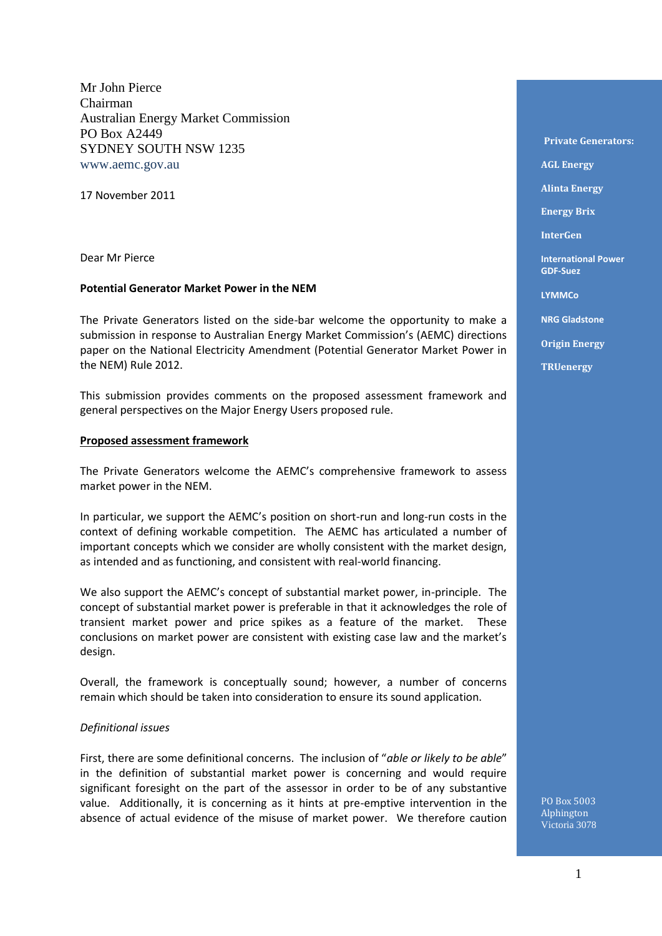Mr John Pierce Chairman Australian Energy Market Commission PO Box A2449 SYDNEY SOUTH NSW 1235 www.aemc.gov.au

17 November 2011

Dear Mr Pierce

#### **Potential Generator Market Power in the NEM**

The Private Generators listed on the side-bar welcome the opportunity to make a submission in response to Australian Energy Market Commission's (AEMC) directions paper on the National Electricity Amendment (Potential Generator Market Power in the NEM) Rule 2012.

This submission provides comments on the proposed assessment framework and general perspectives on the Major Energy Users proposed rule.

#### **Proposed assessment framework**

The Private Generators welcome the AEMC's comprehensive framework to assess market power in the NEM.

In particular, we support the AEMC's position on short-run and long-run costs in the context of defining workable competition. The AEMC has articulated a number of important concepts which we consider are wholly consistent with the market design, as intended and as functioning, and consistent with real-world financing.

We also support the AEMC's concept of substantial market power, in-principle. The concept of substantial market power is preferable in that it acknowledges the role of transient market power and price spikes as a feature of the market. These conclusions on market power are consistent with existing case law and the market's design.

Overall, the framework is conceptually sound; however, a number of concerns remain which should be taken into consideration to ensure its sound application.

#### *Definitional issues*

First, there are some definitional concerns. The inclusion of "*able or likely to be able*" in the definition of substantial market power is concerning and would require significant foresight on the part of the assessor in order to be of any substantive value. Additionally, it is concerning as it hints at pre-emptive intervention in the absence of actual evidence of the misuse of market power. We therefore caution

**Private Generators: AGL Energy Alinta Energy Energy Brix InterGen International Power GDF-Suez LYMMCo NRG Gladstone Origin Energy TRUenergy** 

PO Box 5003 Alphington Victoria 3078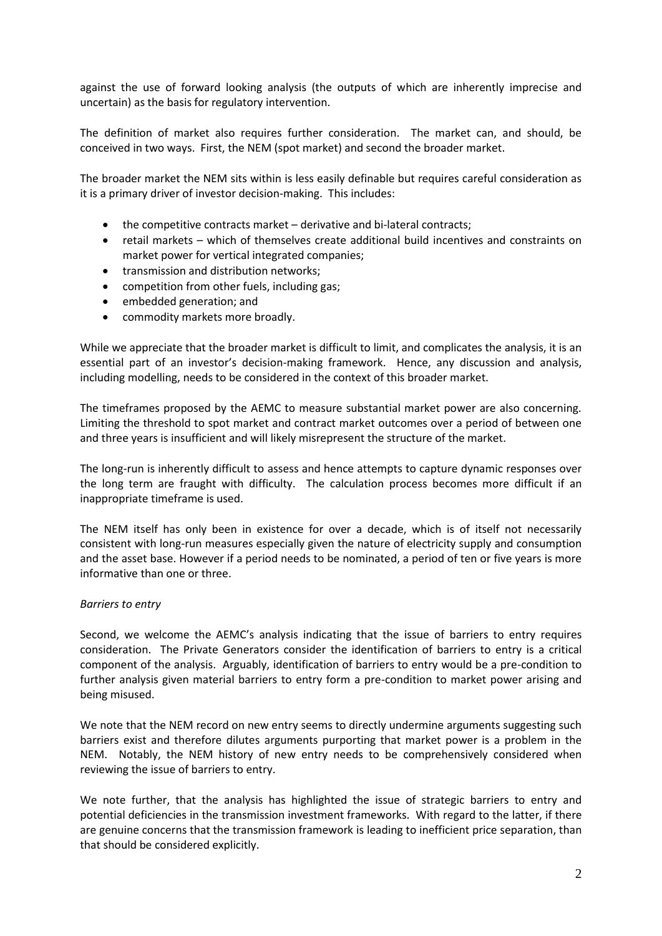against the use of forward looking analysis (the outputs of which are inherently imprecise and uncertain) as the basis for regulatory intervention.

The definition of market also requires further consideration. The market can, and should, be conceived in two ways. First, the NEM (spot market) and second the broader market.

The broader market the NEM sits within is less easily definable but requires careful consideration as it is a primary driver of investor decision-making. This includes:

- the competitive contracts market derivative and bi-lateral contracts;
- retail markets which of themselves create additional build incentives and constraints on market power for vertical integrated companies;
- transmission and distribution networks;
- competition from other fuels, including gas;
- embedded generation; and
- commodity markets more broadly.

While we appreciate that the broader market is difficult to limit, and complicates the analysis, it is an essential part of an investor's decision-making framework. Hence, any discussion and analysis, including modelling, needs to be considered in the context of this broader market.

The timeframes proposed by the AEMC to measure substantial market power are also concerning. Limiting the threshold to spot market and contract market outcomes over a period of between one and three years is insufficient and will likely misrepresent the structure of the market.

The long-run is inherently difficult to assess and hence attempts to capture dynamic responses over the long term are fraught with difficulty. The calculation process becomes more difficult if an inappropriate timeframe is used.

The NEM itself has only been in existence for over a decade, which is of itself not necessarily consistent with long-run measures especially given the nature of electricity supply and consumption and the asset base. However if a period needs to be nominated, a period of ten or five years is more informative than one or three.

### *Barriers to entry*

Second, we welcome the AEMC's analysis indicating that the issue of barriers to entry requires consideration. The Private Generators consider the identification of barriers to entry is a critical component of the analysis. Arguably, identification of barriers to entry would be a pre-condition to further analysis given material barriers to entry form a pre-condition to market power arising and being misused.

We note that the NEM record on new entry seems to directly undermine arguments suggesting such barriers exist and therefore dilutes arguments purporting that market power is a problem in the NEM. Notably, the NEM history of new entry needs to be comprehensively considered when reviewing the issue of barriers to entry.

We note further, that the analysis has highlighted the issue of strategic barriers to entry and potential deficiencies in the transmission investment frameworks. With regard to the latter, if there are genuine concerns that the transmission framework is leading to inefficient price separation, than that should be considered explicitly.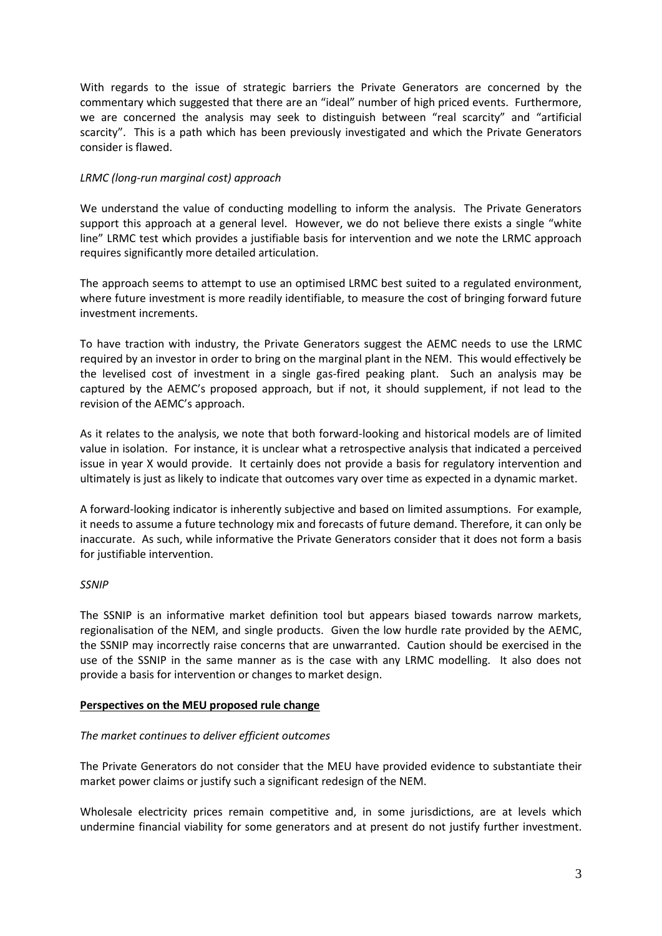With regards to the issue of strategic barriers the Private Generators are concerned by the commentary which suggested that there are an "ideal" number of high priced events. Furthermore, we are concerned the analysis may seek to distinguish between "real scarcity" and "artificial scarcity". This is a path which has been previously investigated and which the Private Generators consider is flawed.

# *LRMC (long-run marginal cost) approach*

We understand the value of conducting modelling to inform the analysis. The Private Generators support this approach at a general level. However, we do not believe there exists a single "white line" LRMC test which provides a justifiable basis for intervention and we note the LRMC approach requires significantly more detailed articulation.

The approach seems to attempt to use an optimised LRMC best suited to a regulated environment, where future investment is more readily identifiable, to measure the cost of bringing forward future investment increments.

To have traction with industry, the Private Generators suggest the AEMC needs to use the LRMC required by an investor in order to bring on the marginal plant in the NEM. This would effectively be the levelised cost of investment in a single gas-fired peaking plant. Such an analysis may be captured by the AEMC's proposed approach, but if not, it should supplement, if not lead to the revision of the AEMC's approach.

As it relates to the analysis, we note that both forward-looking and historical models are of limited value in isolation. For instance, it is unclear what a retrospective analysis that indicated a perceived issue in year X would provide. It certainly does not provide a basis for regulatory intervention and ultimately is just as likely to indicate that outcomes vary over time as expected in a dynamic market.

A forward-looking indicator is inherently subjective and based on limited assumptions. For example, it needs to assume a future technology mix and forecasts of future demand. Therefore, it can only be inaccurate. As such, while informative the Private Generators consider that it does not form a basis for justifiable intervention.

### *SSNIP*

The SSNIP is an informative market definition tool but appears biased towards narrow markets, regionalisation of the NEM, and single products. Given the low hurdle rate provided by the AEMC, the SSNIP may incorrectly raise concerns that are unwarranted. Caution should be exercised in the use of the SSNIP in the same manner as is the case with any LRMC modelling. It also does not provide a basis for intervention or changes to market design.

### **Perspectives on the MEU proposed rule change**

### *The market continues to deliver efficient outcomes*

The Private Generators do not consider that the MEU have provided evidence to substantiate their market power claims or justify such a significant redesign of the NEM.

Wholesale electricity prices remain competitive and, in some jurisdictions, are at levels which undermine financial viability for some generators and at present do not justify further investment.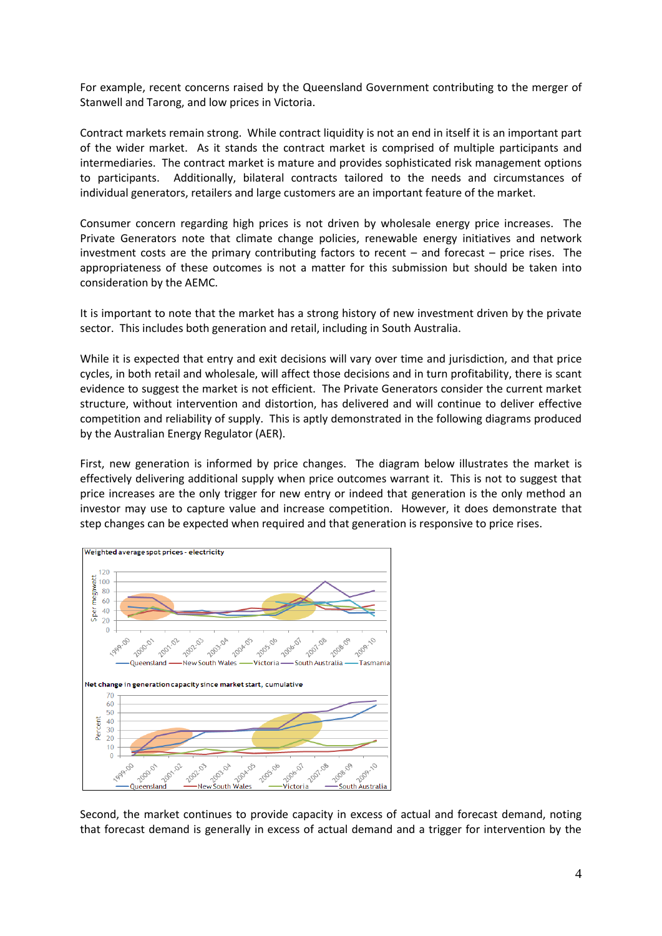For example, recent concerns raised by the Queensland Government contributing to the merger of Stanwell and Tarong, and low prices in Victoria.

Contract markets remain strong. While contract liquidity is not an end in itself it is an important part of the wider market. As it stands the contract market is comprised of multiple participants and intermediaries. The contract market is mature and provides sophisticated risk management options to participants. Additionally, bilateral contracts tailored to the needs and circumstances of individual generators, retailers and large customers are an important feature of the market.

Consumer concern regarding high prices is not driven by wholesale energy price increases. The Private Generators note that climate change policies, renewable energy initiatives and network investment costs are the primary contributing factors to recent – and forecast – price rises. The appropriateness of these outcomes is not a matter for this submission but should be taken into consideration by the AEMC.

It is important to note that the market has a strong history of new investment driven by the private sector. This includes both generation and retail, including in South Australia.

While it is expected that entry and exit decisions will vary over time and jurisdiction, and that price cycles, in both retail and wholesale, will affect those decisions and in turn profitability, there is scant evidence to suggest the market is not efficient. The Private Generators consider the current market structure, without intervention and distortion, has delivered and will continue to deliver effective competition and reliability of supply. This is aptly demonstrated in the following diagrams produced by the Australian Energy Regulator (AER).

First, new generation is informed by price changes. The diagram below illustrates the market is effectively delivering additional supply when price outcomes warrant it. This is not to suggest that price increases are the only trigger for new entry or indeed that generation is the only method an investor may use to capture value and increase competition. However, it does demonstrate that step changes can be expected when required and that generation is responsive to price rises.



Second, the market continues to provide capacity in excess of actual and forecast demand, noting that forecast demand is generally in excess of actual demand and a trigger for intervention by the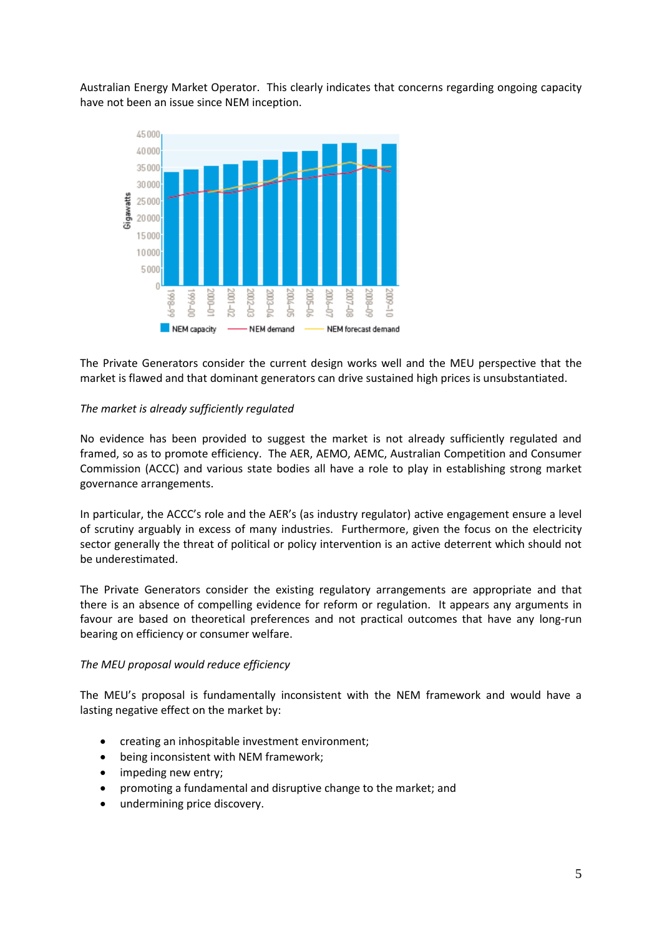Australian Energy Market Operator. This clearly indicates that concerns regarding ongoing capacity have not been an issue since NEM inception.



The Private Generators consider the current design works well and the MEU perspective that the market is flawed and that dominant generators can drive sustained high prices is unsubstantiated.

## *The market is already sufficiently regulated*

No evidence has been provided to suggest the market is not already sufficiently regulated and framed, so as to promote efficiency. The AER, AEMO, AEMC, Australian Competition and Consumer Commission (ACCC) and various state bodies all have a role to play in establishing strong market governance arrangements.

In particular, the ACCC's role and the AER's (as industry regulator) active engagement ensure a level of scrutiny arguably in excess of many industries. Furthermore, given the focus on the electricity sector generally the threat of political or policy intervention is an active deterrent which should not be underestimated.

The Private Generators consider the existing regulatory arrangements are appropriate and that there is an absence of compelling evidence for reform or regulation. It appears any arguments in favour are based on theoretical preferences and not practical outcomes that have any long-run bearing on efficiency or consumer welfare.

### *The MEU proposal would reduce efficiency*

The MEU's proposal is fundamentally inconsistent with the NEM framework and would have a lasting negative effect on the market by:

- creating an inhospitable investment environment;
- being inconsistent with NEM framework;
- impeding new entry;
- promoting a fundamental and disruptive change to the market; and
- undermining price discovery.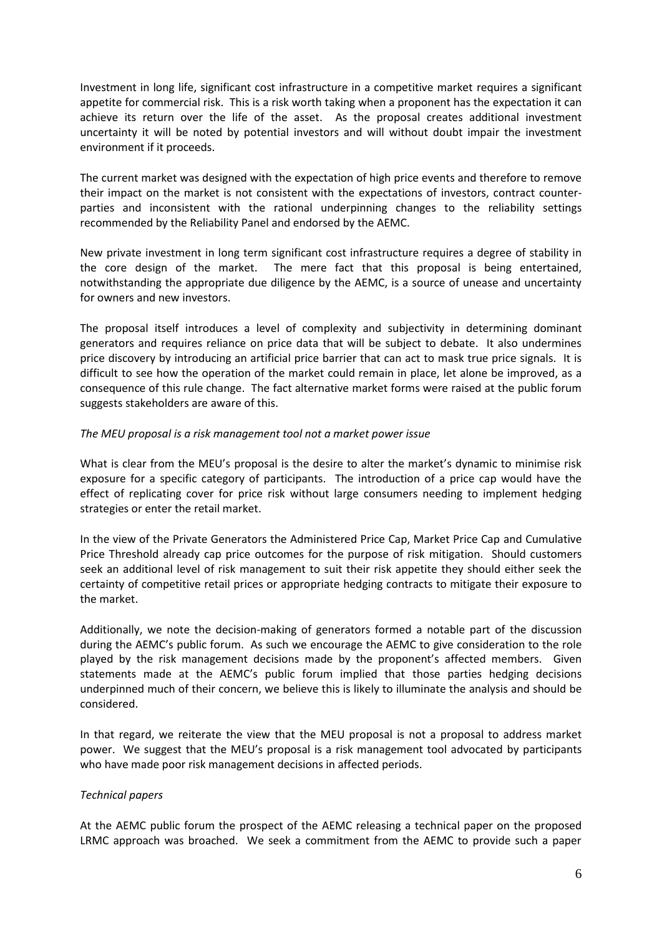Investment in long life, significant cost infrastructure in a competitive market requires a significant appetite for commercial risk. This is a risk worth taking when a proponent has the expectation it can achieve its return over the life of the asset. As the proposal creates additional investment uncertainty it will be noted by potential investors and will without doubt impair the investment environment if it proceeds.

The current market was designed with the expectation of high price events and therefore to remove their impact on the market is not consistent with the expectations of investors, contract counterparties and inconsistent with the rational underpinning changes to the reliability settings recommended by the Reliability Panel and endorsed by the AEMC.

New private investment in long term significant cost infrastructure requires a degree of stability in the core design of the market. The mere fact that this proposal is being entertained, notwithstanding the appropriate due diligence by the AEMC, is a source of unease and uncertainty for owners and new investors.

The proposal itself introduces a level of complexity and subjectivity in determining dominant generators and requires reliance on price data that will be subject to debate. It also undermines price discovery by introducing an artificial price barrier that can act to mask true price signals. It is difficult to see how the operation of the market could remain in place, let alone be improved, as a consequence of this rule change. The fact alternative market forms were raised at the public forum suggests stakeholders are aware of this.

## *The MEU proposal is a risk management tool not a market power issue*

What is clear from the MEU's proposal is the desire to alter the market's dynamic to minimise risk exposure for a specific category of participants. The introduction of a price cap would have the effect of replicating cover for price risk without large consumers needing to implement hedging strategies or enter the retail market.

In the view of the Private Generators the Administered Price Cap, Market Price Cap and Cumulative Price Threshold already cap price outcomes for the purpose of risk mitigation. Should customers seek an additional level of risk management to suit their risk appetite they should either seek the certainty of competitive retail prices or appropriate hedging contracts to mitigate their exposure to the market.

Additionally, we note the decision-making of generators formed a notable part of the discussion during the AEMC's public forum. As such we encourage the AEMC to give consideration to the role played by the risk management decisions made by the proponent's affected members. Given statements made at the AEMC's public forum implied that those parties hedging decisions underpinned much of their concern, we believe this is likely to illuminate the analysis and should be considered.

In that regard, we reiterate the view that the MEU proposal is not a proposal to address market power. We suggest that the MEU's proposal is a risk management tool advocated by participants who have made poor risk management decisions in affected periods.

# *Technical papers*

At the AEMC public forum the prospect of the AEMC releasing a technical paper on the proposed LRMC approach was broached. We seek a commitment from the AEMC to provide such a paper